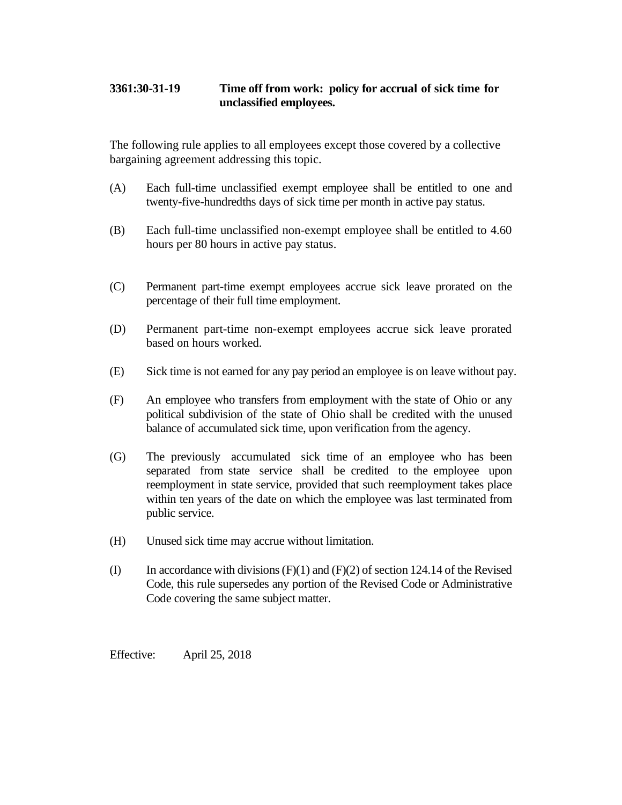## **3361:30-31-19 Time off from work: policy for accrual of sick time for unclassified employees.**

The following rule applies to all employees except those covered by a collective bargaining agreement addressing this topic.

- (A) Each full-time unclassified exempt employee shall be entitled to one and twenty-five-hundredths days of sick time per month in active pay status.
- (B) Each full-time unclassified non-exempt employee shall be entitled to 4.60 hours per 80 hours in active pay status.
- (C) Permanent part-time exempt employees accrue sick leave prorated on the percentage of their full time employment.
- (D) Permanent part-time non-exempt employees accrue sick leave prorated based on hours worked.
- (E) Sick time is not earned for any pay period an employee is on leave without pay.
- (F) An employee who transfers from employment with the state of Ohio or any political subdivision of the state of Ohio shall be credited with the unused balance of accumulated sick time, upon verification from the agency.
- (G) The previously accumulated sick time of an employee who has been separated from state service shall be credited to the employee upon reemployment in state service, provided that such reemployment takes place within ten years of the date on which the employee was last terminated from public service.
- (H) Unused sick time may accrue without limitation.
- (I) In accordance with divisions  $(F)(1)$  and  $(F)(2)$  of section 124.14 of the Revised Code, this rule supersedes any portion of the Revised Code or Administrative Code covering the same subject matter.

Effective: April 25, 2018